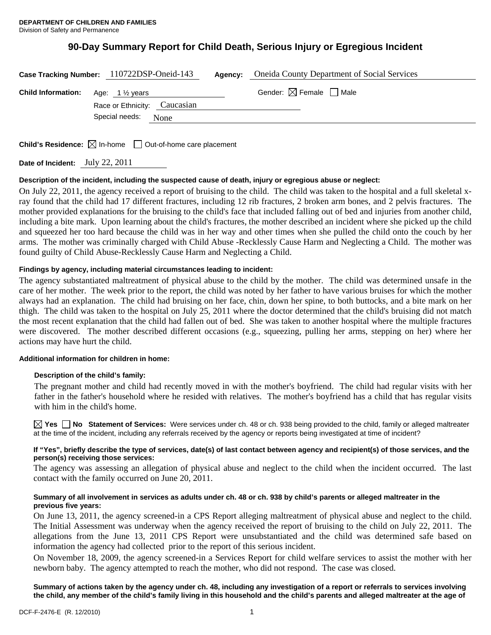# **90-Day Summary Report for Child Death, Serious Injury or Egregious Incident**

|                                                     | Case Tracking Number: 110722DSP-Oneid-143 | Agency: | <b>Oneida County Department of Social Services</b> |
|-----------------------------------------------------|-------------------------------------------|---------|----------------------------------------------------|
| <b>Child Information:</b> Age: $1\frac{1}{2}$ years |                                           |         | Gender: $\boxtimes$ Female $\Box$ Male             |
|                                                     | Race or Ethnicity: Caucasian              |         |                                                    |
|                                                     | Special needs:<br><b>None</b>             |         |                                                    |
|                                                     |                                           |         |                                                    |

**Child's Residence:**  $\boxtimes$  In-home  $\Box$  Out-of-home care placement

**Date of Incident:** July 22, 2011

#### **Description of the incident, including the suspected cause of death, injury or egregious abuse or neglect:**

On July 22, 2011, the agency received a report of bruising to the child. The child was taken to the hospital and a full skeletal xray found that the child had 17 different fractures, including 12 rib fractures, 2 broken arm bones, and 2 pelvis fractures. The mother provided explanations for the bruising to the child's face that included falling out of bed and injuries from another child, including a bite mark. Upon learning about the child's fractures, the mother described an incident where she picked up the child and squeezed her too hard because the child was in her way and other times when she pulled the child onto the couch by her arms. The mother was criminally charged with Child Abuse -Recklessly Cause Harm and Neglecting a Child. The mother was found guilty of Child Abuse-Recklessly Cause Harm and Neglecting a Child.

#### **Findings by agency, including material circumstances leading to incident:**

The agency substantiated maltreatment of physical abuse to the child by the mother. The child was determined unsafe in the care of her mother. The week prior to the report, the child was noted by her father to have various bruises for which the mother always had an explanation. The child had bruising on her face, chin, down her spine, to both buttocks, and a bite mark on her thigh. The child was taken to the hospital on July 25, 2011 where the doctor determined that the child's bruising did not match the most recent explanation that the child had fallen out of bed. She was taken to another hospital where the multiple fractures were discovered. The mother described different occasions (e.g., squeezing, pulling her arms, stepping on her) where her actions may have hurt the child.

#### **Additional information for children in home:**

#### **Description of the child's family:**

 The pregnant mother and child had recently moved in with the mother's boyfriend. The child had regular visits with her father in the father's household where he resided with relatives. The mother's boyfriend has a child that has regular visits with him in the child's home.

**Yes No Statement of Services:** Were services under ch. 48 or ch. 938 being provided to the child, family or alleged maltreater at the time of the incident, including any referrals received by the agency or reports being investigated at time of incident?

#### **If "Yes", briefly describe the type of services, date(s) of last contact between agency and recipient(s) of those services, and the person(s) receiving those services:**

The agency was assessing an allegation of physical abuse and neglect to the child when the incident occurred. The last contact with the family occurred on June 20, 2011.

#### **Summary of all involvement in services as adults under ch. 48 or ch. 938 by child's parents or alleged maltreater in the previous five years:**

On June 13, 2011, the agency screened-in a CPS Report alleging maltreatment of physical abuse and neglect to the child. The Initial Assessment was underway when the agency received the report of bruising to the child on July 22, 2011. The allegations from the June 13, 2011 CPS Report were unsubstantiated and the child was determined safe based on information the agency had collected prior to the report of this serious incident.

On November 18, 2009, the agency screened-in a Services Report for child welfare services to assist the mother with her newborn baby. The agency attempted to reach the mother, who did not respond. The case was closed.

**Summary of actions taken by the agency under ch. 48, including any investigation of a report or referrals to services involving the child, any member of the child's family living in this household and the child's parents and alleged maltreater at the age of**